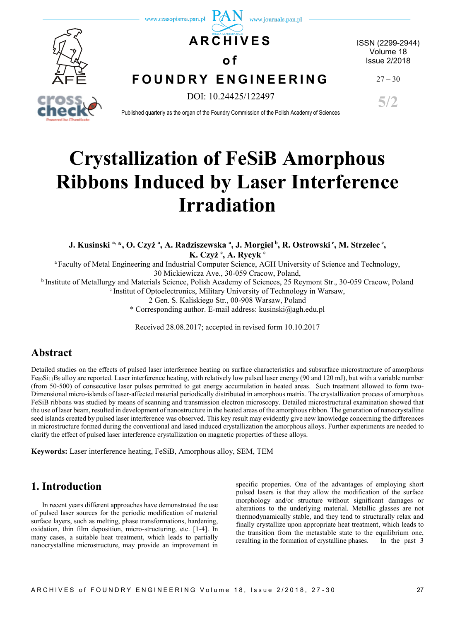

# **Crystallization of FeSiB Amorphous Ribbons Induced by Laser Interference Irradiation**

**J. Kusinski a, \*, O. Czyż <sup>a</sup> , A. Radziszewska <sup>a</sup> , J. Morgiel <sup>b</sup> , R. Ostrowski <sup>c</sup> , M. Strzelec <sup>c</sup> , K. Czyż <sup>c</sup> , A. Rycyk <sup>c</sup>**

<sup>a</sup>Faculty of Metal Engineering and Industrial Computer Science, AGH University of Science and Technology, 30 Mickiewicza Ave., 30-059 Cracow, Poland,

<sup>b</sup> Institute of Metallurgy and Materials Science, Polish Academy of Sciences, 25 Reymont Str., 30-059 Cracow, Poland

 $\textdegree$  Institut of Optoelectronics, Military University of Technology in Warsaw,

2 Gen. S. Kaliskiego Str., 00-908 Warsaw, Poland

\* Corresponding author. E-mail address: kusinski@agh.edu.pl

Received 28.08.2017; accepted in revised form 10.10.2017

### **Abstract**

Detailed studies on the effects of pulsed laser interference heating on surface characteristics and subsurface microstructure of amorphous Fe<sub>80</sub>Si<sub>11</sub>B<sub>9</sub> alloy are reported. Laser interference heating, with relatively low pulsed laser energy (90 and 120 mJ), but with a variable number (from 50-500) of consecutive laser pulses permitted to get energy accumulation in heated areas. Such treatment allowed to form two-Dimensional micro-islands of laser-affected material periodically distributed in amorphous matrix. The crystallization process of amorphous FeSiB ribbons was studied by means of scanning and transmission electron microscopy. Detailed microstructural examination showed that the use of laser beam, resulted in development of nanostructure in the heated areas of the amorphous ribbon. The generation of nanocrystalline seed islands created by pulsed laser interference was observed. This key result may evidently give new knowledge concerning the differences in microstructure formed during the conventional and lased induced crystallization the amorphous alloys. Further experiments are needed to clarify the effect of pulsed laser interference crystallization on magnetic properties of these alloys.

**Keywords:** Laser interference heating, FeSiB, Amorphous alloy, SEM, TEM

# **1. Introduction**

In recent years different approaches have demonstrated the use of pulsed laser sources for the periodic modification of material surface layers, such as melting, phase transformations, hardening, oxidation, thin film deposition, micro-structuring, etc. [1-4]. In many cases, a suitable heat treatment, which leads to partially nanocrystalline microstructure, may provide an improvement in specific properties. One of the advantages of employing short pulsed lasers is that they allow the modification of the surface morphology and/or structure without significant damages or alterations to the underlying material. Metallic glasses are not thermodynamically stable, and they tend to structurally relax and finally crystallize upon appropriate heat treatment, which leads to the transition from the metastable state to the equilibrium one, resulting in the formation of crystalline phases. In the past 3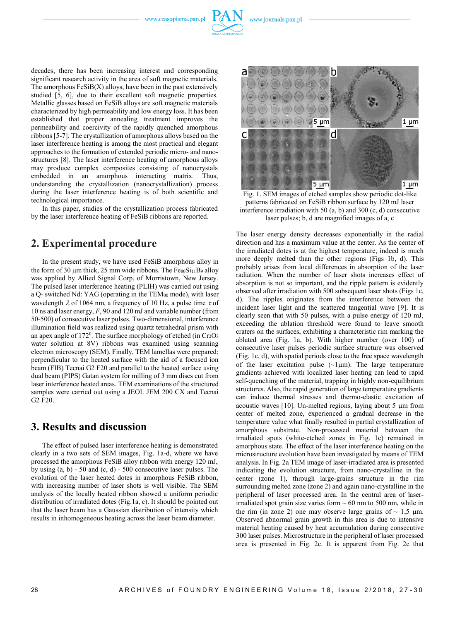

decades, there has been increasing interest and corresponding significant research activity in the area of soft magnetic materials. The amorphous  $FesiB(X)$  alloys, have been in the past extensively studied [5, 6], due to their excellent soft magnetic properties. Metallic glasses based on FeSiB alloys are soft magnetic materials characterized by high permeability and low energy loss. It has been established that proper annealing treatment improves the permeability and coercivity of the rapidly quenched amorphous ribbons [5-7]. The crystallization of amorphous alloys based on the laser interference heating is among the most practical and elegant approaches to the formation of extended periodic micro- and nanostructures [8]. The laser interference heating of amorphous alloys may produce complex composites consisting of nanocrystals embedded in an amorphous interacting matrix. Thus, understanding the crystallization (nanocrystallization) process during the laser interference heating is of both scientific and technological importance.

In this paper, studies of the crystallization process fabricated by the laser interference heating of FeSiB ribbons are reported.

### **2. Experimental procedure**

In the present study, we have used FeSiB amorphous alloy in the form of 30  $\mu$ m thick, 25 mm wide ribbons. The FesoSi $_{11}$ B<sub>9</sub> alloy was applied by Allied Signal Corp. of Morristown, New Jersey. The pulsed laser interference heating (PLIH) was carried out using a Q- switched Nd: YAG (operating in the TEM<sup>00</sup> mode), with laser wavelength  $\lambda$  of 1064 nm, a frequency of 10 Hz, a pulse time  $\tau$  of 10 ns and laser energy, *F*, 90 and 120 mJ and variable number (from 50-500) of consecutive laser pulses. Two-dimensional, interference illumination field was realized using quartz tetrahedral prism with an apex angle of 172<sup>0</sup>. The surface morphology of etched (in Cr<sub>2</sub>O<sub>3</sub> water solution at 8V) ribbons was examined using scanning electron microscopy (SEM). Finally, TEM lamellas were prepared: perpendicular to the heated surface with the aid of a focused ion beam (FIB) Tecnai G2 F20 and parallel to the heated surface using dual beam (PIPS) Gatan system for milling of 3 mm discs cut from laser interference heated areas. TEM examinations of the structured samples were carried out using a JEOL JEM 200 CX and Tecnai G2 F20.

# **3. Results and discussion**

The effect of pulsed laser interference heating is demonstrated clearly in a two sets of SEM images, Fig. 1a-d, where we have processed the amorphous FeSiB alloy ribbon with energy 120 mJ, by using (a, b) - 50 and (c, d) - 500 consecutive laser pulses. The evolution of the laser heated dotes in amorphous FeSiB ribbon, with increasing number of laser shots is well visible. The SEM analysis of the locally heated ribbon showed a uniform periodic distribution of irradiated dotes (Fig.1a, c). It should be pointed out that the laser beam has a Gaussian distribution of intensity which results in inhomogeneous heating across the laser beam diameter.



Fig. 1. SEM images of etched samples show periodic dot-like patterns fabricated on FeSiB ribbon surface by 120 mJ laser interference irradiation with 50 (a, b) and 300 (c, d) consecutive laser pulses; b, d are magnified images of a, c

The laser energy density decreases exponentially in the radial direction and has a maximum value at the center. As the center of the irradiated dotes is at the highest temperature, indeed is much more deeply melted than the other regions (Figs 1b, d). This probably arises from local differences in absorption of the laser radiation. When the number of laser shots increases effect of absorption is not so important, and the ripple pattern is evidently observed after irradiation with 500 subsequent laser shots (Figs 1c, d). The ripples originates from the interference between the incident laser light and the scattered tangential wave [9]. It is clearly seen that with 50 pulses, with a pulse energy of 120 mJ, exceeding the ablation threshold were found to leave smooth craters on the surfaces, exhibiting a characteristic rim marking the ablated area (Fig. 1a, b). With higher number (over 100) of consecutive laser pulses periodic surface structure was observed (Fig. 1c, d), with spatial periods close to the free space wavelength of the laser excitation pulse  $(\sim 1 \,\mu\text{m})$ . The large temperature gradients achieved with localized laser heating can lead to rapid self-quenching of the material, trapping in highly non-equilibrium structures. Also, the rapid generation of large temperature gradients can induce thermal stresses and thermo-elastic excitation of acoustic waves  $[10]$ . Un-melted regions, laying about 5  $\mu$ m from center of melted zone, experienced a gradual decrease in the temperature value what finally resulted in partial crystallization of amorphous substrate. Non-processed material between the irradiated spots (white-etched zones in Fig. 1c) remained in amorphous state. The effect of the laser interference heating on the microstructure evolution have been investigated by means of TEM analysis. In Fig. 2a TEM image of laser-irradiated area is presented indicating the evolution structure, from nano-crystalline in the center (zone 1), through large-grains structure in the rim surrounding melted zone (zone 2) and again nano-crystalline in the peripheral of laser processed area. In the central area of laserirradiated spot grain size varies form  $\sim 60$  nm to 500 nm, while in the rim (in zone 2) one may observe large grains of  $\sim 1.5$  µm. Observed abnormal grain growth in this area is due to intensive material heating caused by heat accumulation during consecutive 300 laser pulses. Microstructure in the peripheral of laser processed area is presented in Fig. 2c. It is apparent from Fig. 2c that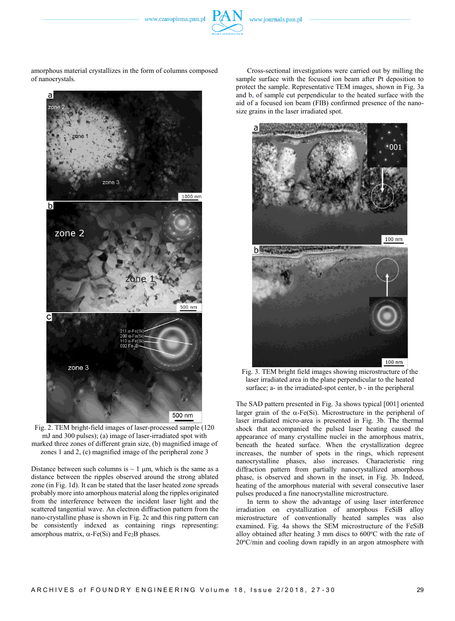www.czasopisma.pan.pl

amorphous material crystallizes in the form of columns composed of nanocrystals.



Fig. 2. TEM bright-field images of laser-processed sample (120 mJ and 300 pulses); (a) image of laser-irradiated spot with marked three zones of different grain size, (b) magnified image of zones 1 and 2, (c) magnified image of the peripheral zone 3

Distance between such columns is  $\sim 1$  µm, which is the same as a distance between the ripples observed around the strong ablated zone (in Fig. 1d). It can be stated that the laser heated zone spreads probably more into amorphous material along the ripples originated from the interference between the incident laser light and the scattered tangential wave. An electron diffraction pattern from the nano-crystalline phase is shown in Fig. 2c and this ring pattern can be consistently indexed as containing rings representing: amorphous matrix,  $\alpha$ -Fe(Si) and Fe<sub>2</sub>B phases.

Cross-sectional investigations were carried out by milling the sample surface with the focused ion beam after Pt deposition to protect the sample. Representative TEM images, shown in Fig. 3a and b, of sample cut perpendicular to the heated surface with the aid of a focused ion beam (FIB) confirmed presence of the nanosize grains in the laser irradiated spot.



Fig. 3. TEM bright field images showing microstructure of the laser irradiated area in the plane perpendicular to the heated surface; a- in the irradiated-spot center, b - in the peripheral

The SAD pattern presented in Fig. 3a shows typical [001] oriented larger grain of the  $\alpha$ -Fe(Si). Microstructure in the peripheral of laser irradiated micro-area is presented in Fig. 3b. The thermal shock that accompanied the pulsed laser heating caused the appearance of many crystalline nuclei in the amorphous matrix, beneath the heated surface. When the crystallization degree increases, the number of spots in the rings, which represent nanocrystalline phases, also increases. Characteristic ring diffraction pattern from partially nanocrystallized amorphous phase, is observed and shown in the inset, in Fig. 3b. Indeed, heating of the amorphous material with several consecutive laser pulses produced a fine nanocrystalline microstructure.

In term to show the advantage of using laser interference irradiation on crystallization of amorphous FeSiB alloy microstructure of conventionally heated samples was also examined. Fig. 4a shows the SEM microstructure of the FeSiB alloy obtained after heating  $3 \text{ mm}$  discs to  $600^{\circ}$ C with the rate of  $20^{\circ}$ C/min and cooling down rapidly in an argon atmosphere with